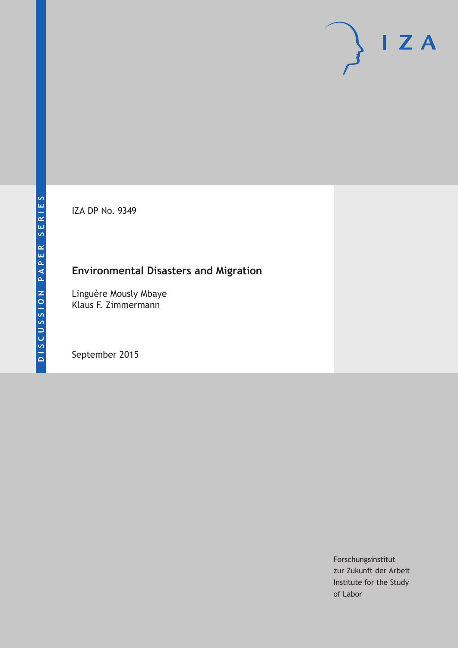IZA DP No. 9349

# **Environmental Disasters and Migration**

Linguère Mously Mbaye Klaus F. Zimmermann

September 2015

Forschungsinstitut zur Zukunft der Arbeit Institute for the Study of Labor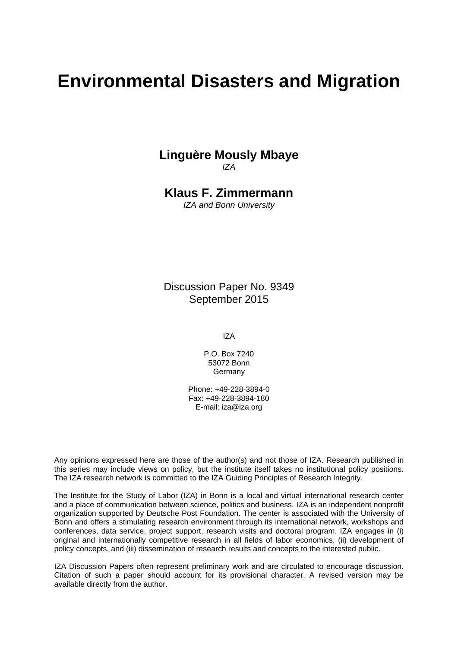# **Environmental Disasters and Migration**

### **Linguère Mously Mbaye**  *IZA*

**Klaus F. Zimmermann**  *IZA and Bonn University* 

Discussion Paper No. 9349 September 2015

IZA

P.O. Box 7240 53072 Bonn **Germany** 

Phone: +49-228-3894-0 Fax: +49-228-3894-180 E-mail: iza@iza.org

Any opinions expressed here are those of the author(s) and not those of IZA. Research published in this series may include views on policy, but the institute itself takes no institutional policy positions. The IZA research network is committed to the IZA Guiding Principles of Research Integrity.

The Institute for the Study of Labor (IZA) in Bonn is a local and virtual international research center and a place of communication between science, politics and business. IZA is an independent nonprofit organization supported by Deutsche Post Foundation. The center is associated with the University of Bonn and offers a stimulating research environment through its international network, workshops and conferences, data service, project support, research visits and doctoral program. IZA engages in (i) original and internationally competitive research in all fields of labor economics, (ii) development of policy concepts, and (iii) dissemination of research results and concepts to the interested public.

IZA Discussion Papers often represent preliminary work and are circulated to encourage discussion. Citation of such a paper should account for its provisional character. A revised version may be available directly from the author.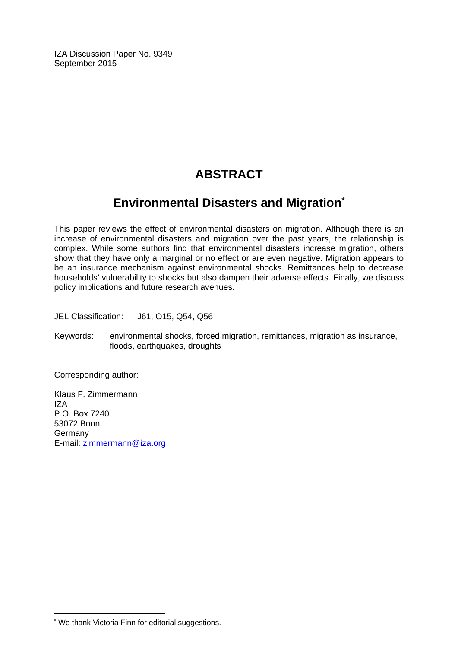IZA Discussion Paper No. 9349 September 2015

# **ABSTRACT**

### **Environmental Disasters and Migration\***

This paper reviews the effect of environmental disasters on migration. Although there is an increase of environmental disasters and migration over the past years, the relationship is complex. While some authors find that environmental disasters increase migration, others show that they have only a marginal or no effect or are even negative. Migration appears to be an insurance mechanism against environmental shocks. Remittances help to decrease households' vulnerability to shocks but also dampen their adverse effects. Finally, we discuss policy implications and future research avenues.

JEL Classification: J61, O15, Q54, Q56

Keywords: environmental shocks, forced migration, remittances, migration as insurance, floods, earthquakes, droughts

Corresponding author:

Klaus F. Zimmermann IZA P.O. Box 7240 53072 Bonn **Germany** E-mail: zimmermann@iza.org

 $\overline{a}$ \* We thank Victoria Finn for editorial suggestions.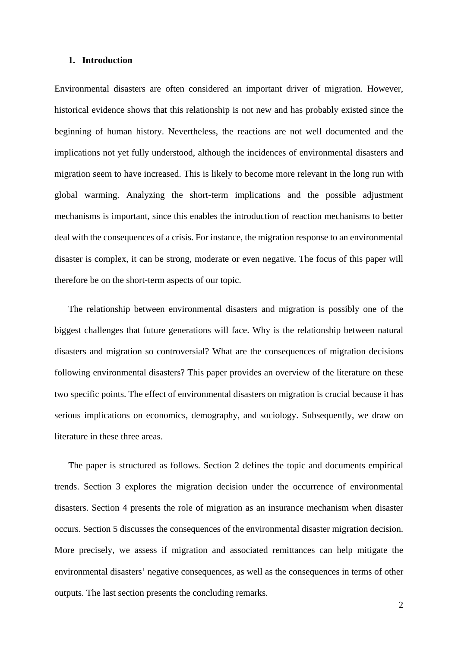#### **1. Introduction**

Environmental disasters are often considered an important driver of migration. However, historical evidence shows that this relationship is not new and has probably existed since the beginning of human history. Nevertheless, the reactions are not well documented and the implications not yet fully understood, although the incidences of environmental disasters and migration seem to have increased. This is likely to become more relevant in the long run with global warming. Analyzing the short-term implications and the possible adjustment mechanisms is important, since this enables the introduction of reaction mechanisms to better deal with the consequences of a crisis. For instance, the migration response to an environmental disaster is complex, it can be strong, moderate or even negative. The focus of this paper will therefore be on the short-term aspects of our topic.

The relationship between environmental disasters and migration is possibly one of the biggest challenges that future generations will face. Why is the relationship between natural disasters and migration so controversial? What are the consequences of migration decisions following environmental disasters? This paper provides an overview of the literature on these two specific points. The effect of environmental disasters on migration is crucial because it has serious implications on economics, demography, and sociology. Subsequently, we draw on literature in these three areas.

The paper is structured as follows. Section 2 defines the topic and documents empirical trends. Section 3 explores the migration decision under the occurrence of environmental disasters. Section 4 presents the role of migration as an insurance mechanism when disaster occurs. Section 5 discusses the consequences of the environmental disaster migration decision. More precisely, we assess if migration and associated remittances can help mitigate the environmental disasters' negative consequences, as well as the consequences in terms of other outputs. The last section presents the concluding remarks.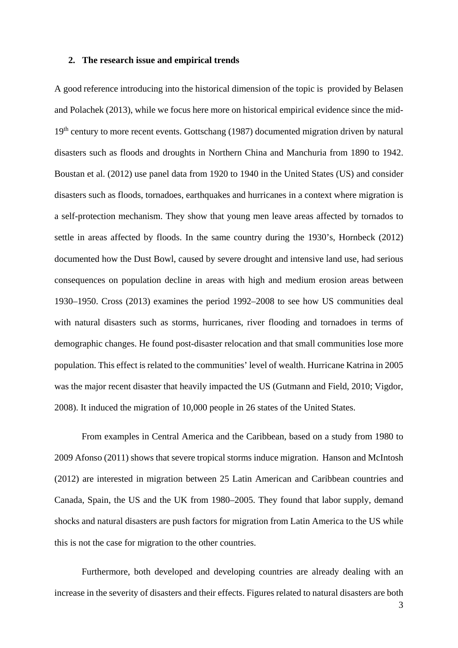#### **2. The research issue and empirical trends**

A good reference introducing into the historical dimension of the topic is provided by Belasen and Polachek (2013), while we focus here more on historical empirical evidence since the mid-19<sup>th</sup> century to more recent events. Gottschang (1987) documented migration driven by natural disasters such as floods and droughts in Northern China and Manchuria from 1890 to 1942. Boustan et al. (2012) use panel data from 1920 to 1940 in the United States (US) and consider disasters such as floods, tornadoes, earthquakes and hurricanes in a context where migration is a self-protection mechanism. They show that young men leave areas affected by tornados to settle in areas affected by floods. In the same country during the 1930's, Hornbeck (2012) documented how the Dust Bowl, caused by severe drought and intensive land use, had serious consequences on population decline in areas with high and medium erosion areas between 1930–1950. Cross (2013) examines the period 1992–2008 to see how US communities deal with natural disasters such as storms, hurricanes, river flooding and tornadoes in terms of demographic changes. He found post-disaster relocation and that small communities lose more population. This effect is related to the communities' level of wealth. Hurricane Katrina in 2005 was the major recent disaster that heavily impacted the US (Gutmann and Field, 2010; Vigdor, 2008). It induced the migration of 10,000 people in 26 states of the United States.

From examples in Central America and the Caribbean, based on a study from 1980 to 2009 Afonso (2011) shows that severe tropical storms induce migration. Hanson and McIntosh (2012) are interested in migration between 25 Latin American and Caribbean countries and Canada, Spain, the US and the UK from 1980–2005. They found that labor supply, demand shocks and natural disasters are push factors for migration from Latin America to the US while this is not the case for migration to the other countries.

 Furthermore, both developed and developing countries are already dealing with an increase in the severity of disasters and their effects. Figures related to natural disasters are both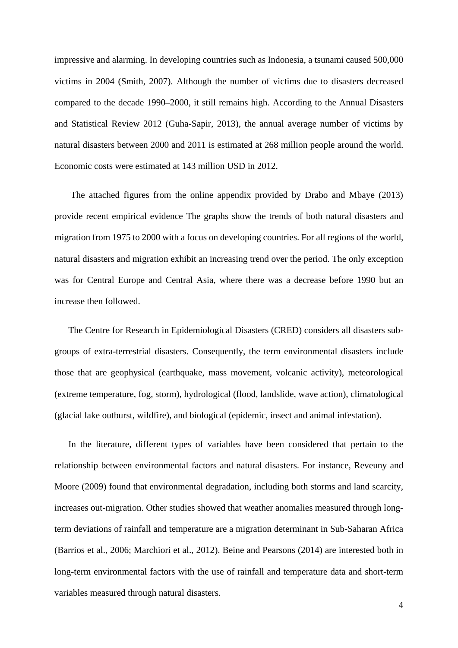impressive and alarming. In developing countries such as Indonesia, a tsunami caused 500,000 victims in 2004 (Smith, 2007). Although the number of victims due to disasters decreased compared to the decade 1990–2000, it still remains high. According to the Annual Disasters and Statistical Review 2012 (Guha-Sapir, 2013), the annual average number of victims by natural disasters between 2000 and 2011 is estimated at 268 million people around the world. Economic costs were estimated at 143 million USD in 2012.

 The attached figures from the online appendix provided by Drabo and Mbaye (2013) provide recent empirical evidence The graphs show the trends of both natural disasters and migration from 1975 to 2000 with a focus on developing countries. For all regions of the world, natural disasters and migration exhibit an increasing trend over the period. The only exception was for Central Europe and Central Asia, where there was a decrease before 1990 but an increase then followed.

The Centre for Research in Epidemiological Disasters (CRED) considers all disasters subgroups of extra-terrestrial disasters. Consequently, the term environmental disasters include those that are geophysical (earthquake, mass movement, volcanic activity), meteorological (extreme temperature, fog, storm), hydrological (flood, landslide, wave action), climatological (glacial lake outburst, wildfire), and biological (epidemic, insect and animal infestation).

In the literature, different types of variables have been considered that pertain to the relationship between environmental factors and natural disasters. For instance, Reveuny and Moore (2009) found that environmental degradation, including both storms and land scarcity, increases out-migration. Other studies showed that weather anomalies measured through longterm deviations of rainfall and temperature are a migration determinant in Sub-Saharan Africa (Barrios et al., 2006; Marchiori et al., 2012). Beine and Pearsons (2014) are interested both in long-term environmental factors with the use of rainfall and temperature data and short-term variables measured through natural disasters.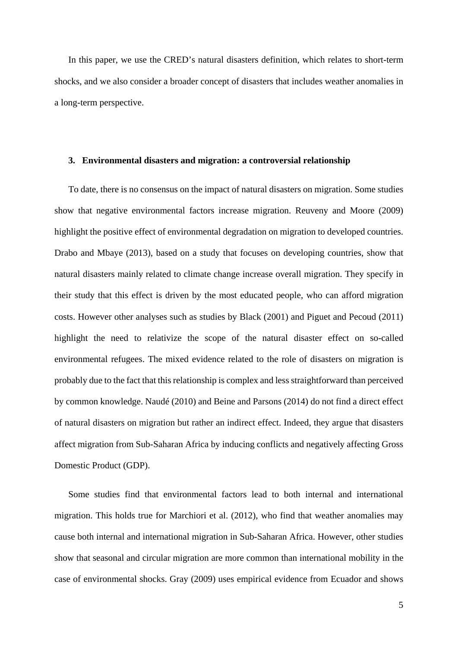In this paper, we use the CRED's natural disasters definition, which relates to short-term shocks, and we also consider a broader concept of disasters that includes weather anomalies in a long-term perspective.

#### **3. Environmental disasters and migration: a controversial relationship**

To date, there is no consensus on the impact of natural disasters on migration. Some studies show that negative environmental factors increase migration. Reuveny and Moore (2009) highlight the positive effect of environmental degradation on migration to developed countries. Drabo and Mbaye (2013), based on a study that focuses on developing countries, show that natural disasters mainly related to climate change increase overall migration. They specify in their study that this effect is driven by the most educated people, who can afford migration costs. However other analyses such as studies by Black (2001) and Piguet and Pecoud (2011) highlight the need to relativize the scope of the natural disaster effect on so-called environmental refugees. The mixed evidence related to the role of disasters on migration is probably due to the fact that this relationship is complex and less straightforward than perceived by common knowledge. Naudé (2010) and Beine and Parsons (2014) do not find a direct effect of natural disasters on migration but rather an indirect effect. Indeed, they argue that disasters affect migration from Sub-Saharan Africa by inducing conflicts and negatively affecting Gross Domestic Product (GDP).

Some studies find that environmental factors lead to both internal and international migration. This holds true for Marchiori et al. (2012), who find that weather anomalies may cause both internal and international migration in Sub-Saharan Africa. However, other studies show that seasonal and circular migration are more common than international mobility in the case of environmental shocks. Gray (2009) uses empirical evidence from Ecuador and shows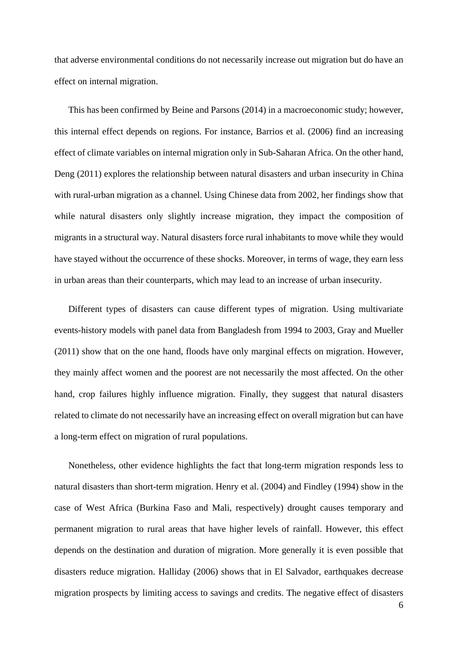that adverse environmental conditions do not necessarily increase out migration but do have an effect on internal migration.

This has been confirmed by Beine and Parsons (2014) in a macroeconomic study; however, this internal effect depends on regions. For instance, Barrios et al. (2006) find an increasing effect of climate variables on internal migration only in Sub-Saharan Africa. On the other hand, Deng (2011) explores the relationship between natural disasters and urban insecurity in China with rural-urban migration as a channel. Using Chinese data from 2002, her findings show that while natural disasters only slightly increase migration, they impact the composition of migrants in a structural way. Natural disasters force rural inhabitants to move while they would have stayed without the occurrence of these shocks. Moreover, in terms of wage, they earn less in urban areas than their counterparts, which may lead to an increase of urban insecurity.

Different types of disasters can cause different types of migration. Using multivariate events-history models with panel data from Bangladesh from 1994 to 2003, Gray and Mueller (2011) show that on the one hand, floods have only marginal effects on migration. However, they mainly affect women and the poorest are not necessarily the most affected. On the other hand, crop failures highly influence migration. Finally, they suggest that natural disasters related to climate do not necessarily have an increasing effect on overall migration but can have a long-term effect on migration of rural populations.

Nonetheless, other evidence highlights the fact that long-term migration responds less to natural disasters than short-term migration. Henry et al. (2004) and Findley (1994) show in the case of West Africa (Burkina Faso and Mali, respectively) drought causes temporary and permanent migration to rural areas that have higher levels of rainfall. However, this effect depends on the destination and duration of migration. More generally it is even possible that disasters reduce migration. Halliday (2006) shows that in El Salvador, earthquakes decrease migration prospects by limiting access to savings and credits. The negative effect of disasters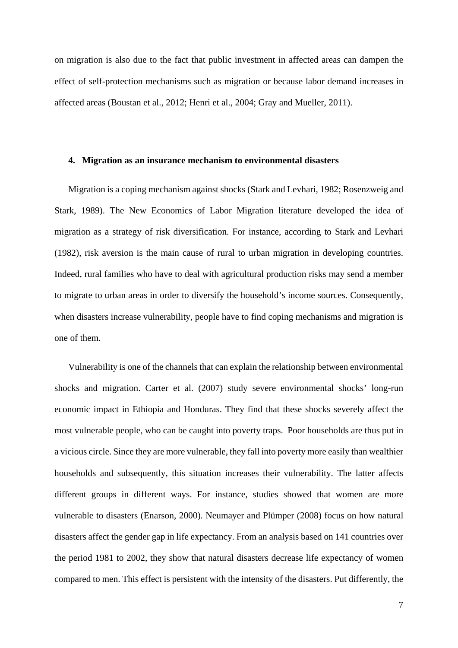on migration is also due to the fact that public investment in affected areas can dampen the effect of self-protection mechanisms such as migration or because labor demand increases in affected areas (Boustan et al., 2012; Henri et al., 2004; Gray and Mueller, 2011).

#### **4. Migration as an insurance mechanism to environmental disasters**

Migration is a coping mechanism against shocks (Stark and Levhari, 1982; Rosenzweig and Stark, 1989). The New Economics of Labor Migration literature developed the idea of migration as a strategy of risk diversification. For instance, according to Stark and Levhari (1982), risk aversion is the main cause of rural to urban migration in developing countries. Indeed, rural families who have to deal with agricultural production risks may send a member to migrate to urban areas in order to diversify the household's income sources. Consequently, when disasters increase vulnerability, people have to find coping mechanisms and migration is one of them.

Vulnerability is one of the channels that can explain the relationship between environmental shocks and migration. Carter et al. (2007) study severe environmental shocks' long-run economic impact in Ethiopia and Honduras. They find that these shocks severely affect the most vulnerable people, who can be caught into poverty traps. Poor households are thus put in a vicious circle. Since they are more vulnerable, they fall into poverty more easily than wealthier households and subsequently, this situation increases their vulnerability. The latter affects different groups in different ways. For instance, studies showed that women are more vulnerable to disasters (Enarson, 2000). Neumayer and Plümper (2008) focus on how natural disasters affect the gender gap in life expectancy. From an analysis based on 141 countries over the period 1981 to 2002, they show that natural disasters decrease life expectancy of women compared to men. This effect is persistent with the intensity of the disasters. Put differently, the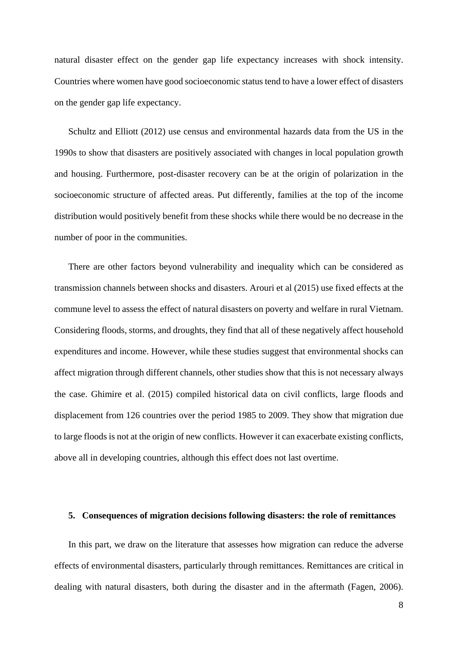natural disaster effect on the gender gap life expectancy increases with shock intensity. Countries where women have good socioeconomic status tend to have a lower effect of disasters on the gender gap life expectancy.

Schultz and Elliott (2012) use census and environmental hazards data from the US in the 1990s to show that disasters are positively associated with changes in local population growth and housing. Furthermore, post-disaster recovery can be at the origin of polarization in the socioeconomic structure of affected areas. Put differently, families at the top of the income distribution would positively benefit from these shocks while there would be no decrease in the number of poor in the communities.

There are other factors beyond vulnerability and inequality which can be considered as transmission channels between shocks and disasters. Arouri et al (2015) use fixed effects at the commune level to assess the effect of natural disasters on poverty and welfare in rural Vietnam. Considering floods, storms, and droughts, they find that all of these negatively affect household expenditures and income. However, while these studies suggest that environmental shocks can affect migration through different channels, other studies show that this is not necessary always the case. Ghimire et al. (2015) compiled historical data on civil conflicts, large floods and displacement from 126 countries over the period 1985 to 2009. They show that migration due to large floods is not at the origin of new conflicts. However it can exacerbate existing conflicts, above all in developing countries, although this effect does not last overtime.

#### **5. Consequences of migration decisions following disasters: the role of remittances**

In this part, we draw on the literature that assesses how migration can reduce the adverse effects of environmental disasters, particularly through remittances. Remittances are critical in dealing with natural disasters, both during the disaster and in the aftermath (Fagen, 2006).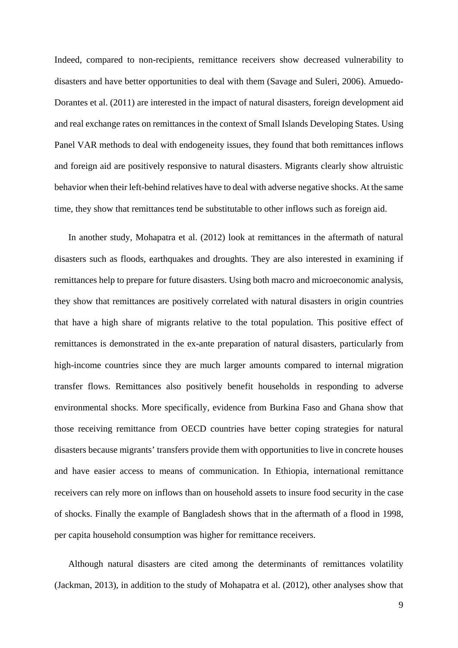Indeed, compared to non-recipients, remittance receivers show decreased vulnerability to disasters and have better opportunities to deal with them (Savage and Suleri, 2006). Amuedo-Dorantes et al. (2011) are interested in the impact of natural disasters, foreign development aid and real exchange rates on remittances in the context of Small Islands Developing States. Using Panel VAR methods to deal with endogeneity issues, they found that both remittances inflows and foreign aid are positively responsive to natural disasters. Migrants clearly show altruistic behavior when their left-behind relatives have to deal with adverse negative shocks. At the same time, they show that remittances tend be substitutable to other inflows such as foreign aid.

In another study, Mohapatra et al. (2012) look at remittances in the aftermath of natural disasters such as floods, earthquakes and droughts. They are also interested in examining if remittances help to prepare for future disasters. Using both macro and microeconomic analysis, they show that remittances are positively correlated with natural disasters in origin countries that have a high share of migrants relative to the total population. This positive effect of remittances is demonstrated in the ex-ante preparation of natural disasters, particularly from high-income countries since they are much larger amounts compared to internal migration transfer flows. Remittances also positively benefit households in responding to adverse environmental shocks. More specifically, evidence from Burkina Faso and Ghana show that those receiving remittance from OECD countries have better coping strategies for natural disasters because migrants' transfers provide them with opportunities to live in concrete houses and have easier access to means of communication. In Ethiopia, international remittance receivers can rely more on inflows than on household assets to insure food security in the case of shocks. Finally the example of Bangladesh shows that in the aftermath of a flood in 1998, per capita household consumption was higher for remittance receivers.

Although natural disasters are cited among the determinants of remittances volatility (Jackman, 2013), in addition to the study of Mohapatra et al. (2012), other analyses show that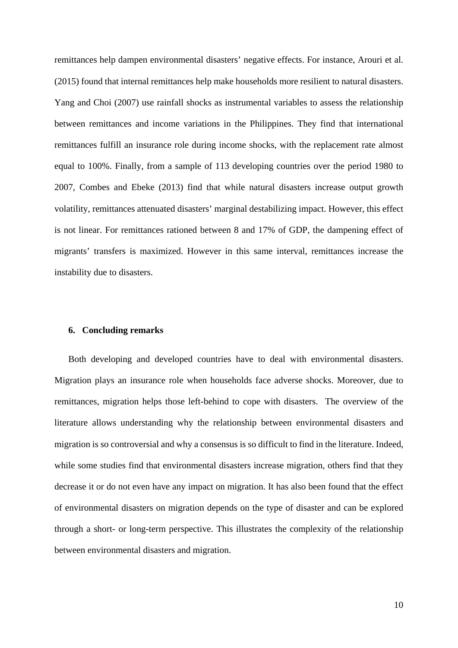remittances help dampen environmental disasters' negative effects. For instance, Arouri et al. (2015) found that internal remittances help make households more resilient to natural disasters. Yang and Choi (2007) use rainfall shocks as instrumental variables to assess the relationship between remittances and income variations in the Philippines. They find that international remittances fulfill an insurance role during income shocks, with the replacement rate almost equal to 100%. Finally, from a sample of 113 developing countries over the period 1980 to 2007, Combes and Ebeke (2013) find that while natural disasters increase output growth volatility, remittances attenuated disasters' marginal destabilizing impact. However, this effect is not linear. For remittances rationed between 8 and 17% of GDP, the dampening effect of migrants' transfers is maximized. However in this same interval, remittances increase the instability due to disasters.

#### **6. Concluding remarks**

Both developing and developed countries have to deal with environmental disasters. Migration plays an insurance role when households face adverse shocks. Moreover, due to remittances, migration helps those left-behind to cope with disasters. The overview of the literature allows understanding why the relationship between environmental disasters and migration is so controversial and why a consensus is so difficult to find in the literature. Indeed, while some studies find that environmental disasters increase migration, others find that they decrease it or do not even have any impact on migration. It has also been found that the effect of environmental disasters on migration depends on the type of disaster and can be explored through a short- or long-term perspective. This illustrates the complexity of the relationship between environmental disasters and migration.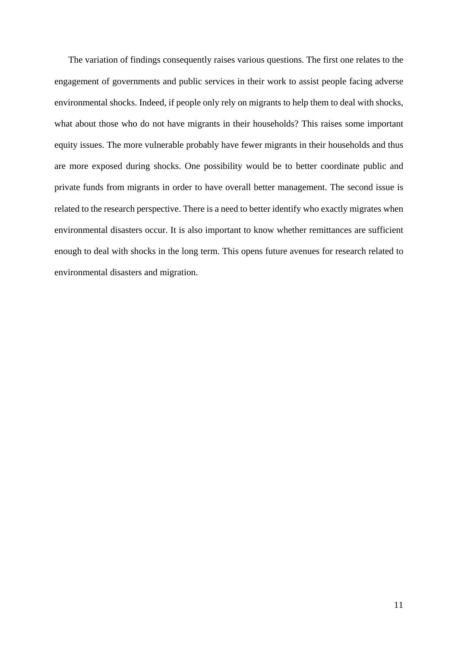The variation of findings consequently raises various questions. The first one relates to the engagement of governments and public services in their work to assist people facing adverse environmental shocks. Indeed, if people only rely on migrants to help them to deal with shocks, what about those who do not have migrants in their households? This raises some important equity issues. The more vulnerable probably have fewer migrants in their households and thus are more exposed during shocks. One possibility would be to better coordinate public and private funds from migrants in order to have overall better management. The second issue is related to the research perspective. There is a need to better identify who exactly migrates when environmental disasters occur. It is also important to know whether remittances are sufficient enough to deal with shocks in the long term. This opens future avenues for research related to environmental disasters and migration.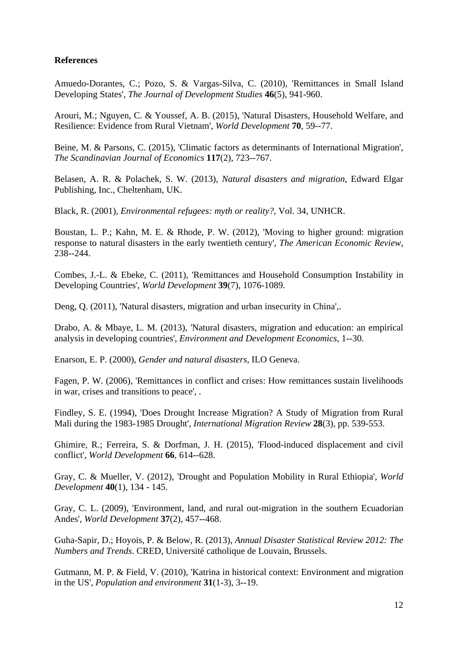### **References**

Amuedo-Dorantes, C.; Pozo, S. & Vargas-Silva, C. (2010), 'Remittances in Small Island Developing States', *The Journal of Development Studies* **46**(5), 941-960.

Arouri, M.; Nguyen, C. & Youssef, A. B. (2015), 'Natural Disasters, Household Welfare, and Resilience: Evidence from Rural Vietnam', *World Development* **70**, 59--77.

Beine, M. & Parsons, C. (2015), 'Climatic factors as determinants of International Migration', *The Scandinavian Journal of Economics* **117**(2), 723--767.

Belasen, A. R. & Polachek, S. W. (2013), *Natural disasters and migration*, Edward Elgar Publishing, Inc., Cheltenham, UK.

Black, R. (2001), *Environmental refugees: myth or reality?*, Vol. 34, UNHCR.

Boustan, L. P.; Kahn, M. E. & Rhode, P. W. (2012), 'Moving to higher ground: migration response to natural disasters in the early twentieth century', *The American Economic Review*, 238--244.

Combes, J.-L. & Ebeke, C. (2011), 'Remittances and Household Consumption Instability in Developing Countries', *World Development* **39**(7), 1076-1089.

Deng, Q. (2011), 'Natural disasters, migration and urban insecurity in China',.

Drabo, A. & Mbaye, L. M. (2013), 'Natural disasters, migration and education: an empirical analysis in developing countries', *Environment and Development Economics*, 1--30.

Enarson, E. P. (2000), *Gender and natural disasters*, ILO Geneva.

Fagen, P. W. (2006), 'Remittances in conflict and crises: How remittances sustain livelihoods in war, crises and transitions to peace', .

Findley, S. E. (1994), 'Does Drought Increase Migration? A Study of Migration from Rural Mali during the 1983-1985 Drought', *International Migration Review* **28**(3), pp. 539-553.

Ghimire, R.; Ferreira, S. & Dorfman, J. H. (2015), 'Flood-induced displacement and civil conflict', *World Development* **66**, 614--628.

Gray, C. & Mueller, V. (2012), 'Drought and Population Mobility in Rural Ethiopia', *World Development* **40**(1), 134 - 145.

Gray, C. L. (2009), 'Environment, land, and rural out-migration in the southern Ecuadorian Andes', *World Development* **37**(2), 457--468.

Guha-Sapir, D.; Hoyois, P. & Below, R. (2013), *Annual Disaster Statistical Review 2012: The Numbers and Trends*. CRED, Université catholique de Louvain, Brussels.

Gutmann, M. P. & Field, V. (2010), 'Katrina in historical context: Environment and migration in the US', *Population and environment* **31**(1-3), 3--19.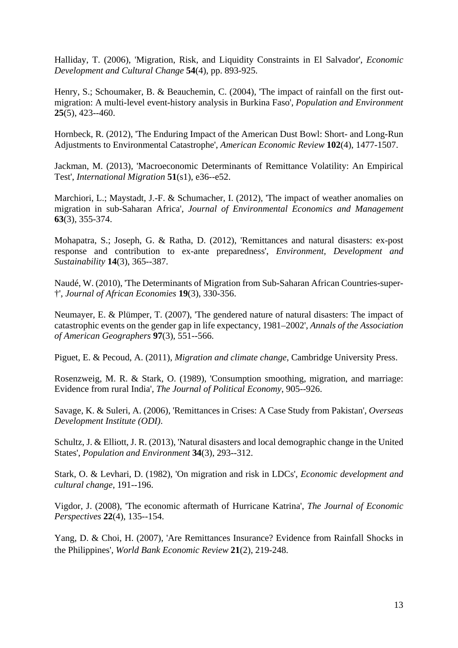Halliday, T. (2006), 'Migration, Risk, and Liquidity Constraints in El Salvador', *Economic Development and Cultural Change* **54**(4), pp. 893-925.

Henry, S.; Schoumaker, B. & Beauchemin, C. (2004), 'The impact of rainfall on the first outmigration: A multi-level event-history analysis in Burkina Faso', *Population and Environment* **25**(5), 423--460.

Hornbeck, R. (2012), 'The Enduring Impact of the American Dust Bowl: Short- and Long-Run Adjustments to Environmental Catastrophe', *American Economic Review* **102**(4), 1477-1507.

Jackman, M. (2013), 'Macroeconomic Determinants of Remittance Volatility: An Empirical Test', *International Migration* **51**(s1), e36--e52.

Marchiori, L.; Maystadt, J.-F. & Schumacher, I. (2012), 'The impact of weather anomalies on migration in sub-Saharan Africa', *Journal of Environmental Economics and Management* **63**(3), 355-374.

Mohapatra, S.; Joseph, G. & Ratha, D. (2012), 'Remittances and natural disasters: ex-post response and contribution to ex-ante preparedness', *Environment, Development and Sustainability* **14**(3), 365--387.

Naudé, W. (2010), 'The Determinants of Migration from Sub-Saharan African Countries-super- †', *Journal of African Economies* **19**(3), 330-356.

Neumayer, E. & Plümper, T. (2007), 'The gendered nature of natural disasters: The impact of catastrophic events on the gender gap in life expectancy, 1981–2002', *Annals of the Association of American Geographers* **97**(3), 551--566.

Piguet, E. & Pecoud, A. (2011), *Migration and climate change*, Cambridge University Press.

Rosenzweig, M. R. & Stark, O. (1989), 'Consumption smoothing, migration, and marriage: Evidence from rural India', *The Journal of Political Economy*, 905--926.

Savage, K. & Suleri, A. (2006), 'Remittances in Crises: A Case Study from Pakistan', *Overseas Development Institute (ODI)*.

Schultz, J. & Elliott, J. R. (2013), 'Natural disasters and local demographic change in the United States', *Population and Environment* **34**(3), 293--312.

Stark, O. & Levhari, D. (1982), 'On migration and risk in LDCs', *Economic development and cultural change*, 191--196.

Vigdor, J. (2008), 'The economic aftermath of Hurricane Katrina', *The Journal of Economic Perspectives* **22**(4), 135--154.

Yang, D. & Choi, H. (2007), 'Are Remittances Insurance? Evidence from Rainfall Shocks in the Philippines', *World Bank Economic Review* **21**(2), 219-248.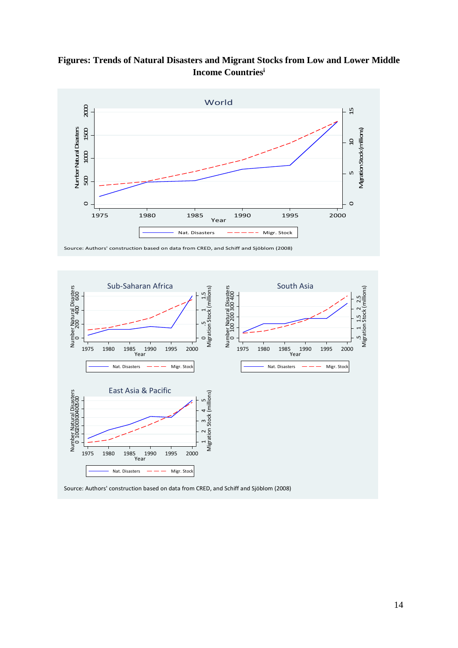**Figures: Trends of Natural Disasters and Migrant Stocks from Low and Lower Middle Income Countriesi**



Source: Authors' construction based on data from CRED, and Schiff and Sjöblom (2008)



Source: Authors' construction based on data from CRED, and Schiff and Sjöblom (2008)